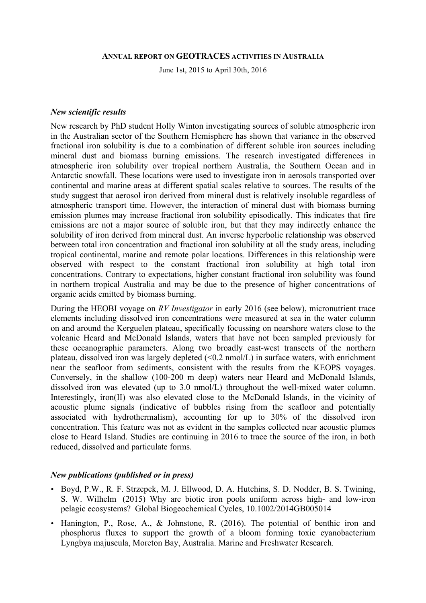#### **ANNUAL REPORT ON GEOTRACES ACTIVITIES IN AUSTRALIA**

June 1st, 2015 to April 30th, 2016

#### *New scientific results*

New research by PhD student Holly Winton investigating sources of soluble atmospheric iron in the Australian sector of the Southern Hemisphere has shown that variance in the observed fractional iron solubility is due to a combination of different soluble iron sources including mineral dust and biomass burning emissions. The research investigated differences in atmospheric iron solubility over tropical northern Australia, the Southern Ocean and in Antarctic snowfall. These locations were used to investigate iron in aerosols transported over continental and marine areas at different spatial scales relative to sources. The results of the study suggest that aerosol iron derived from mineral dust is relatively insoluble regardless of atmospheric transport time. However, the interaction of mineral dust with biomass burning emission plumes may increase fractional iron solubility episodically. This indicates that fire emissions are not a major source of soluble iron, but that they may indirectly enhance the solubility of iron derived from mineral dust. An inverse hyperbolic relationship was observed between total iron concentration and fractional iron solubility at all the study areas, including tropical continental, marine and remote polar locations. Differences in this relationship were observed with respect to the constant fractional iron solubility at high total iron concentrations. Contrary to expectations, higher constant fractional iron solubility was found in northern tropical Australia and may be due to the presence of higher concentrations of organic acids emitted by biomass burning.

During the HEOBI voyage on *RV Investigator* in early 2016 (see below), micronutrient trace elements including dissolved iron concentrations were measured at sea in the water column on and around the Kerguelen plateau, specifically focussing on nearshore waters close to the volcanic Heard and McDonald Islands, waters that have not been sampled previously for these oceanographic parameters. Along two broadly east-west transects of the northern plateau, dissolved iron was largely depleted  $(\leq 0.2 \text{ nmol/L})$  in surface waters, with enrichment near the seafloor from sediments, consistent with the results from the KEOPS voyages. Conversely, in the shallow (100-200 m deep) waters near Heard and McDonald Islands, dissolved iron was elevated (up to 3.0 nmol/L) throughout the well-mixed water column. Interestingly, iron(II) was also elevated close to the McDonald Islands, in the vicinity of acoustic plume signals (indicative of bubbles rising from the seafloor and potentially associated with hydrothermalism), accounting for up to 30% of the dissolved iron concentration. This feature was not as evident in the samples collected near acoustic plumes close to Heard Island. Studies are continuing in 2016 to trace the source of the iron, in both reduced, dissolved and particulate forms.

### *New publications (published or in press)*

- Boyd, P.W., R. F. Strzepek, M. J. Ellwood, D. A. Hutchins, S. D. Nodder, B. S. Twining, S. W. Wilhelm (2015) Why are biotic iron pools uniform across high- and low-iron pelagic ecosystems? Global Biogeochemical Cycles, 10.1002/2014GB005014
- Hanington, P., Rose, A., & Johnstone, R. (2016). The potential of benthic iron and phosphorus fluxes to support the growth of a bloom forming toxic cyanobacterium Lyngbya majuscula, Moreton Bay, Australia. Marine and Freshwater Research.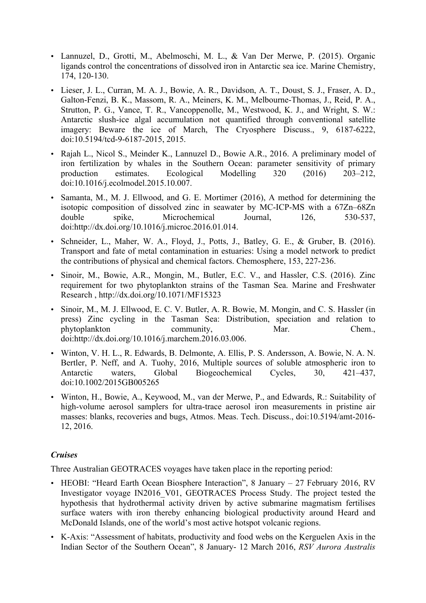- Lannuzel, D., Grotti, M., Abelmoschi, M. L., & Van Der Merwe, P. (2015). Organic ligands control the concentrations of dissolved iron in Antarctic sea ice. Marine Chemistry, 174, 120-130.
- Lieser, J. L., Curran, M. A. J., Bowie, A. R., Davidson, A. T., Doust, S. J., Fraser, A. D., Galton-Fenzi, B. K., Massom, R. A., Meiners, K. M., Melbourne-Thomas, J., Reid, P. A., Strutton, P. G., Vance, T. R., Vancoppenolle, M., Westwood, K. J., and Wright, S. W.: Antarctic slush-ice algal accumulation not quantified through conventional satellite imagery: Beware the ice of March, The Cryosphere Discuss., 9, 6187-6222, doi:10.5194/tcd-9-6187-2015, 2015.
- Rajah L., Nicol S., Meinder K., Lannuzel D., Bowie A.R., 2016. A preliminary model of iron fertilization by whales in the Southern Ocean: parameter sensitivity of primary production estimates. Ecological Modelling 320 (2016) 203–212, doi:10.1016/j.ecolmodel.2015.10.007.
- Samanta, M., M. J. Ellwood, and G. E. Mortimer (2016), A method for determining the isotopic composition of dissolved zinc in seawater by MC-ICP-MS with a 67Zn–68Zn double spike, Microchemical Journal, 126, 530-537, doi:http://dx.doi.org/10.1016/j.microc.2016.01.014.
- Schneider, L., Maher, W. A., Floyd, J., Potts, J., Batley, G. E., & Gruber, B. (2016). Transport and fate of metal contamination in estuaries: Using a model network to predict the contributions of physical and chemical factors. Chemosphere, 153, 227-236.
- Sinoir, M., Bowie, A.R., Mongin, M., Butler, E.C. V., and Hassler, C.S. (2016). Zinc requirement for two phytoplankton strains of the Tasman Sea. Marine and Freshwater Research , http://dx.doi.org/10.1071/MF15323
- Sinoir, M., M. J. Ellwood, E. C. V. Butler, A. R. Bowie, M. Mongin, and C. S. Hassler (in press) Zinc cycling in the Tasman Sea: Distribution, speciation and relation to phytoplankton community, Mar. Chem., doi:http://dx.doi.org/10.1016/j.marchem.2016.03.006.
- Winton, V. H. L., R. Edwards, B. Delmonte, A. Ellis, P. S. Andersson, A. Bowie, N. A. N. Bertler, P. Neff, and A. Tuohy, 2016, Multiple sources of soluble atmospheric iron to Antarctic waters, Global Biogeochemical Cycles, 30, 421–437, doi:10.1002/2015GB005265
- Winton, H., Bowie, A., Keywood, M., van der Merwe, P., and Edwards, R.: Suitability of high-volume aerosol samplers for ultra-trace aerosol iron measurements in pristine air masses: blanks, recoveries and bugs, Atmos. Meas. Tech. Discuss., doi:10.5194/amt-2016- 12, 2016.

## *Cruises*

Three Australian GEOTRACES voyages have taken place in the reporting period:

- HEOBI: "Heard Earth Ocean Biosphere Interaction", 8 January 27 February 2016, RV Investigator voyage IN2016\_V01, GEOTRACES Process Study. The project tested the hypothesis that hydrothermal activity driven by active submarine magmatism fertilises surface waters with iron thereby enhancing biological productivity around Heard and McDonald Islands, one of the world's most active hotspot volcanic regions.
- K-Axis: "Assessment of habitats, productivity and food webs on the Kerguelen Axis in the Indian Sector of the Southern Ocean", 8 January- 12 March 2016, *RSV Aurora Australis*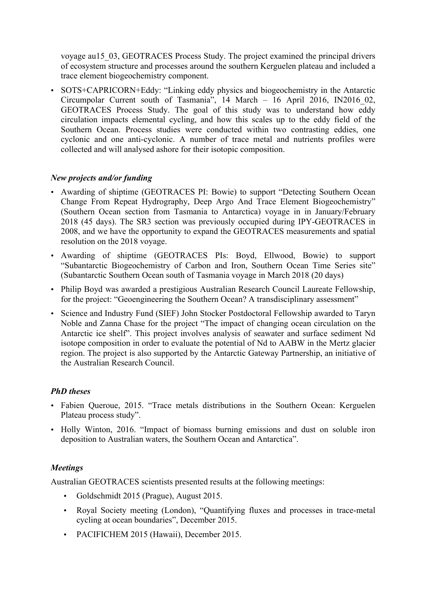voyage au15\_03, GEOTRACES Process Study. The project examined the principal drivers of ecosystem structure and processes around the southern Kerguelen plateau and included a trace element biogeochemistry component.

• SOTS+CAPRICORN+Eddy: "Linking eddy physics and biogeochemistry in the Antarctic Circumpolar Current south of Tasmania", 14 March – 16 April 2016, IN2016\_02, GEOTRACES Process Study. The goal of this study was to understand how eddy circulation impacts elemental cycling, and how this scales up to the eddy field of the Southern Ocean. Process studies were conducted within two contrasting eddies, one cyclonic and one anti-cyclonic. A number of trace metal and nutrients profiles were collected and will analysed ashore for their isotopic composition.

## *New projects and/or funding*

- Awarding of shiptime (GEOTRACES PI: Bowie) to support "Detecting Southern Ocean Change From Repeat Hydrography, Deep Argo And Trace Element Biogeochemistry" (Southern Ocean section from Tasmania to Antarctica) voyage in in January/February 2018 (45 days). The SR3 section was previously occupied during IPY-GEOTRACES in 2008, and we have the opportunity to expand the GEOTRACES measurements and spatial resolution on the 2018 voyage.
- Awarding of shiptime (GEOTRACES PIs: Boyd, Ellwood, Bowie) to support "Subantarctic Biogeochemistry of Carbon and Iron, Southern Ocean Time Series site" (Subantarctic Southern Ocean south of Tasmania voyage in March 2018 (20 days)
- Philip Boyd was awarded a prestigious Australian Research Council Laureate Fellowship, for the project: "Geoengineering the Southern Ocean? A transdisciplinary assessment"
- Science and Industry Fund (SIEF) John Stocker Postdoctoral Fellowship awarded to Taryn Noble and Zanna Chase for the project "The impact of changing ocean circulation on the Antarctic ice shelf". This project involves analysis of seawater and surface sediment Nd isotope composition in order to evaluate the potential of Nd to AABW in the Mertz glacier region. The project is also supported by the Antarctic Gateway Partnership, an initiative of the Australian Research Council.

# *PhD theses*

- Fabien Queroue, 2015. "Trace metals distributions in the Southern Ocean: Kerguelen Plateau process study".
- Holly Winton, 2016. "Impact of biomass burning emissions and dust on soluble iron deposition to Australian waters, the Southern Ocean and Antarctica".

## *Meetings*

Australian GEOTRACES scientists presented results at the following meetings:

- Goldschmidt 2015 (Prague), August 2015.
- Royal Society meeting (London), "Quantifying fluxes and processes in trace-metal cycling at ocean boundaries", December 2015.
- PACIFICHEM 2015 (Hawaii), December 2015.